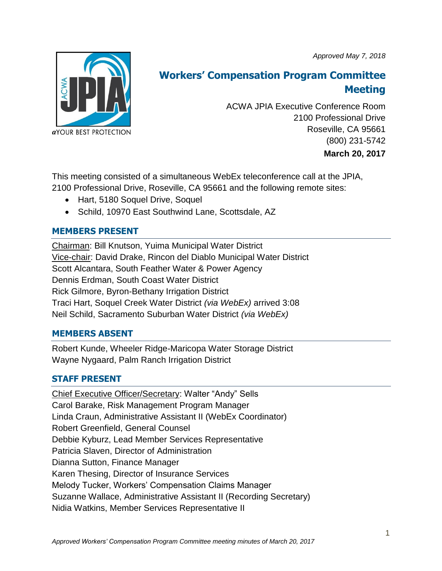*Approved May 7, 2018*



# **Workers' Compensation Program Committee Meeting**

ACWA JPIA Executive Conference Room 2100 Professional Drive Roseville, CA 95661 (800) 231-5742 **March 20, 2017**

This meeting consisted of a simultaneous WebEx teleconference call at the JPIA, 2100 Professional Drive, Roseville, CA 95661 and the following remote sites:

- Hart, 5180 Soquel Drive, Soquel
- Schild, 10970 East Southwind Lane, Scottsdale, AZ

# **MEMBERS PRESENT**

Chairman: Bill Knutson, Yuima Municipal Water District Vice-chair: David Drake, Rincon del Diablo Municipal Water District Scott Alcantara, South Feather Water & Power Agency Dennis Erdman, South Coast Water District Rick Gilmore, Byron-Bethany Irrigation District Traci Hart, Soquel Creek Water District *(via WebEx)* arrived 3:08 Neil Schild, Sacramento Suburban Water District *(via WebEx)*

# **MEMBERS ABSENT**

Robert Kunde, Wheeler Ridge-Maricopa Water Storage District Wayne Nygaard, Palm Ranch Irrigation District

# **STAFF PRESENT**

Chief Executive Officer/Secretary: Walter "Andy" Sells Carol Barake, Risk Management Program Manager Linda Craun, Administrative Assistant II (WebEx Coordinator) Robert Greenfield, General Counsel Debbie Kyburz, Lead Member Services Representative Patricia Slaven, Director of Administration Dianna Sutton, Finance Manager Karen Thesing, Director of Insurance Services Melody Tucker, Workers' Compensation Claims Manager Suzanne Wallace, Administrative Assistant II (Recording Secretary) Nidia Watkins, Member Services Representative II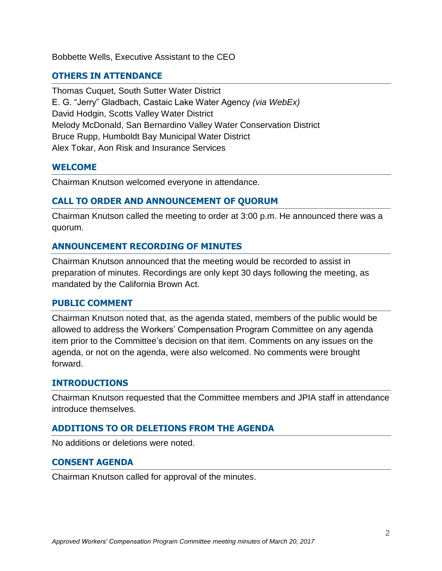Bobbette Wells, Executive Assistant to the CEO

## **OTHERS IN ATTENDANCE**

Thomas Cuquet, South Sutter Water District E. G. "Jerry" Gladbach, Castaic Lake Water Agency *(via WebEx)* David Hodgin, Scotts Valley Water District Melody McDonald, San Bernardino Valley Water Conservation District Bruce Rupp, Humboldt Bay Municipal Water District Alex Tokar, Aon Risk and Insurance Services

#### **WELCOME**

Chairman Knutson welcomed everyone in attendance.

#### **CALL TO ORDER AND ANNOUNCEMENT OF QUORUM**

Chairman Knutson called the meeting to order at 3:00 p.m. He announced there was a quorum.

#### **ANNOUNCEMENT RECORDING OF MINUTES**

Chairman Knutson announced that the meeting would be recorded to assist in preparation of minutes. Recordings are only kept 30 days following the meeting, as mandated by the California Brown Act.

#### **PUBLIC COMMENT**

Chairman Knutson noted that, as the agenda stated, members of the public would be allowed to address the Workers' Compensation Program Committee on any agenda item prior to the Committee's decision on that item. Comments on any issues on the agenda, or not on the agenda, were also welcomed. No comments were brought forward.

#### **INTRODUCTIONS**

Chairman Knutson requested that the Committee members and JPIA staff in attendance introduce themselves.

#### **ADDITIONS TO OR DELETIONS FROM THE AGENDA**

No additions or deletions were noted.

#### **CONSENT AGENDA**

Chairman Knutson called for approval of the minutes.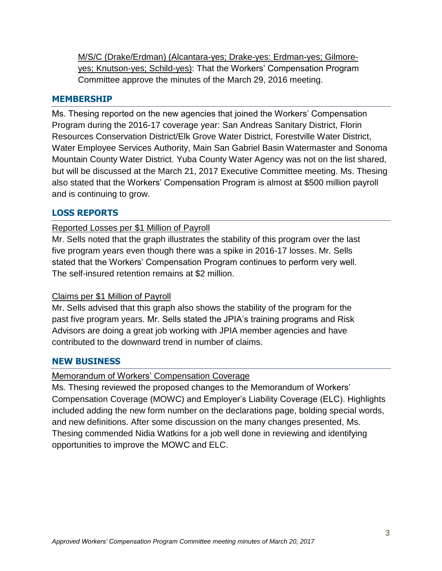M/S/C (Drake/Erdman) (Alcantara-yes; Drake-yes: Erdman-yes; Gilmoreyes; Knutson-yes; Schild-yes): That the Workers' Compensation Program Committee approve the minutes of the March 29, 2016 meeting.

#### **MEMBERSHIP**

Ms. Thesing reported on the new agencies that joined the Workers' Compensation Program during the 2016-17 coverage year: San Andreas Sanitary District, Florin Resources Conservation District/Elk Grove Water District, Forestville Water District, Water Employee Services Authority, Main San Gabriel Basin Watermaster and Sonoma Mountain County Water District. Yuba County Water Agency was not on the list shared, but will be discussed at the March 21, 2017 Executive Committee meeting. Ms. Thesing also stated that the Workers' Compensation Program is almost at \$500 million payroll and is continuing to grow.

# **LOSS REPORTS**

# Reported Losses per \$1 Million of Payroll

Mr. Sells noted that the graph illustrates the stability of this program over the last five program years even though there was a spike in 2016-17 losses. Mr. Sells stated that the Workers' Compensation Program continues to perform very well. The self-insured retention remains at \$2 million.

# Claims per \$1 Million of Payroll

Mr. Sells advised that this graph also shows the stability of the program for the past five program years. Mr. Sells stated the JPIA's training programs and Risk Advisors are doing a great job working with JPIA member agencies and have contributed to the downward trend in number of claims.

# **NEW BUSINESS**

# Memorandum of Workers' Compensation Coverage

Ms. Thesing reviewed the proposed changes to the Memorandum of Workers' Compensation Coverage (MOWC) and Employer's Liability Coverage (ELC). Highlights included adding the new form number on the declarations page, bolding special words, and new definitions. After some discussion on the many changes presented, Ms. Thesing commended Nidia Watkins for a job well done in reviewing and identifying opportunities to improve the MOWC and ELC.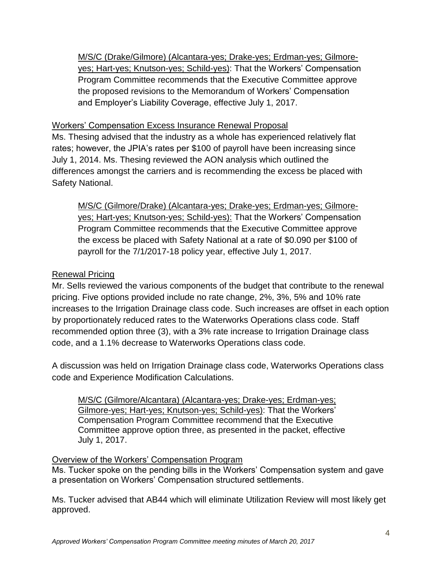M/S/C (Drake/Gilmore) (Alcantara-yes; Drake-yes; Erdman-yes; Gilmoreyes; Hart-yes; Knutson-yes; Schild-yes): That the Workers' Compensation Program Committee recommends that the Executive Committee approve the proposed revisions to the Memorandum of Workers' Compensation and Employer's Liability Coverage, effective July 1, 2017.

# Workers' Compensation Excess Insurance Renewal Proposal

Ms. Thesing advised that the industry as a whole has experienced relatively flat rates; however, the JPIA's rates per \$100 of payroll have been increasing since July 1, 2014. Ms. Thesing reviewed the AON analysis which outlined the differences amongst the carriers and is recommending the excess be placed with Safety National.

M/S/C (Gilmore/Drake) (Alcantara-yes; Drake-yes; Erdman-yes; Gilmoreyes; Hart-yes; Knutson-yes; Schild-yes): That the Workers' Compensation Program Committee recommends that the Executive Committee approve the excess be placed with Safety National at a rate of \$0.090 per \$100 of payroll for the 7/1/2017-18 policy year, effective July 1, 2017.

### Renewal Pricing

Mr. Sells reviewed the various components of the budget that contribute to the renewal pricing. Five options provided include no rate change, 2%, 3%, 5% and 10% rate increases to the Irrigation Drainage class code. Such increases are offset in each option by proportionately reduced rates to the Waterworks Operations class code. Staff recommended option three (3), with a 3% rate increase to Irrigation Drainage class code, and a 1.1% decrease to Waterworks Operations class code.

A discussion was held on Irrigation Drainage class code, Waterworks Operations class code and Experience Modification Calculations.

M/S/C (Gilmore/Alcantara) (Alcantara-yes; Drake-yes; Erdman-yes; Gilmore-yes; Hart-yes; Knutson-yes; Schild-yes): That the Workers' Compensation Program Committee recommend that the Executive Committee approve option three, as presented in the packet, effective July 1, 2017.

#### Overview of the Workers' Compensation Program

Ms. Tucker spoke on the pending bills in the Workers' Compensation system and gave a presentation on Workers' Compensation structured settlements.

Ms. Tucker advised that AB44 which will eliminate Utilization Review will most likely get approved.